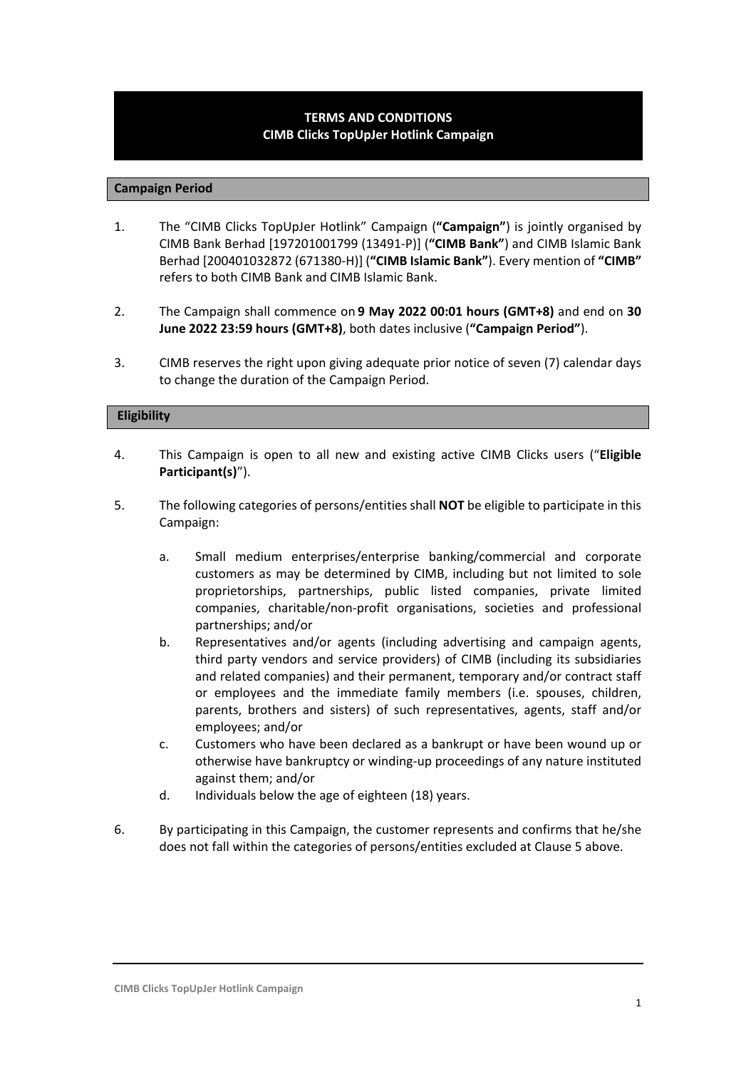# **TERMS AND CONDITIONS CIMB Clicks TopUpJer Hotlink Campaign**

#### **Campaign Period**

- 1. The "CIMB Clicks TopUpJer Hotlink" Campaign (**"Campaign"**) is jointly organised by CIMB Bank Berhad [197201001799 (13491-P)] (**"CIMB Bank"**) and CIMB Islamic Bank Berhad [200401032872 (671380-H)] (**"CIMB Islamic Bank"**). Every mention of **"CIMB"** refers to both CIMB Bank and CIMB Islamic Bank.
- 2. The Campaign shall commence on **9 May 2022 00:01 hours (GMT+8)** and end on **30 June 2022 23:59 hours (GMT+8)**, both dates inclusive (**"Campaign Period"**).
- 3. CIMB reserves the right upon giving adequate prior notice of seven (7) calendar days to change the duration of the Campaign Period.

#### **Eligibility**

- 4. This Campaign is open to all new and existing active CIMB Clicks users ("**Eligible Participant(s)**").
- 5. The following categories of persons/entities shall **NOT** be eligible to participate in this Campaign:
	- a. Small medium enterprises/enterprise banking/commercial and corporate customers as may be determined by CIMB, including but not limited to sole proprietorships, partnerships, public listed companies, private limited companies, charitable/non-profit organisations, societies and professional partnerships; and/or
	- b. Representatives and/or agents (including advertising and campaign agents, third party vendors and service providers) of CIMB (including its subsidiaries and related companies) and their permanent, temporary and/or contract staff or employees and the immediate family members (i.e. spouses, children, parents, brothers and sisters) of such representatives, agents, staff and/or employees; and/or
	- c. Customers who have been declared as a bankrupt or have been wound up or otherwise have bankruptcy or winding-up proceedings of any nature instituted against them; and/or
	- d. Individuals below the age of eighteen (18) years.
- 6. By participating in this Campaign, the customer represents and confirms that he/she does not fall within the categories of persons/entities excluded at Clause 5 above.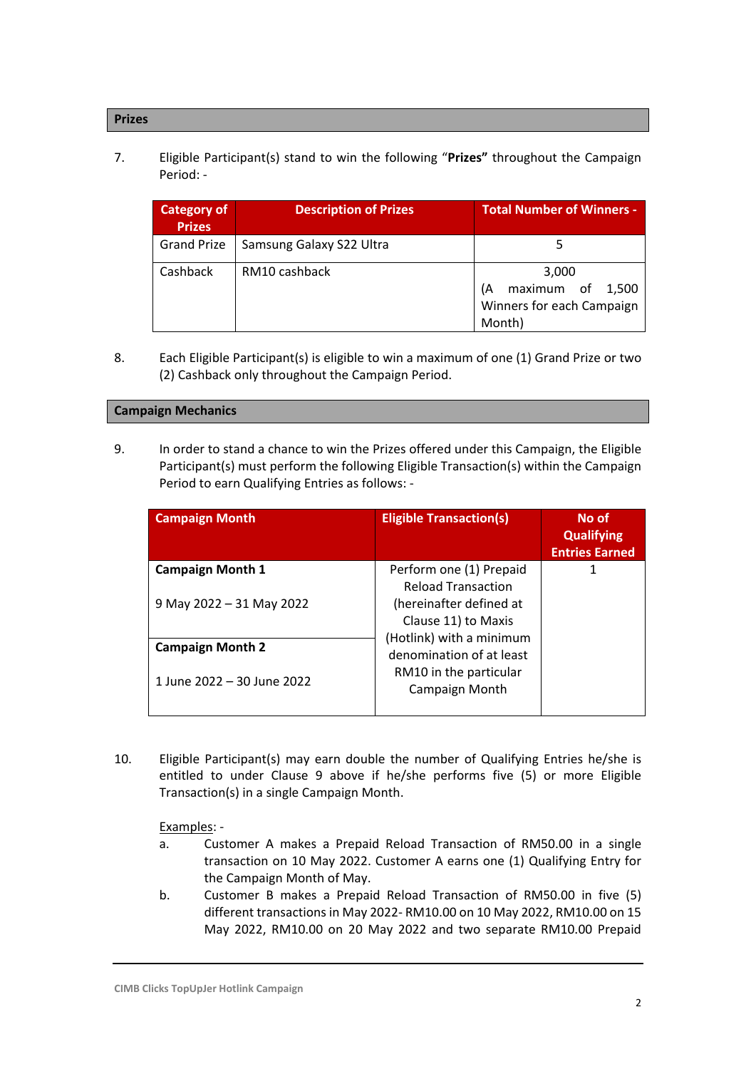## **Prizes**

7. Eligible Participant(s) stand to win the following "**Prizes"** throughout the Campaign Period: -

| Category of<br><b>Prizes</b> | <b>Description of Prizes</b> | <b>Total Number of Winners -</b>                                          |  |
|------------------------------|------------------------------|---------------------------------------------------------------------------|--|
| <b>Grand Prize</b>           | Samsung Galaxy S22 Ultra     |                                                                           |  |
| Cashback                     | RM10 cashback                | 3,000<br>maximum of<br>1,500<br>lΑ<br>Winners for each Campaign<br>Month) |  |

8. Each Eligible Participant(s) is eligible to win a maximum of one (1) Grand Prize or two (2) Cashback only throughout the Campaign Period.

#### **Campaign Mechanics**

9. In order to stand a chance to win the Prizes offered under this Campaign, the Eligible Participant(s) must perform the following Eligible Transaction(s) within the Campaign Period to earn Qualifying Entries as follows: -

| <b>Campaign Month</b>      | <b>Eligible Transaction(s)</b>                       | No of<br><b>Qualifying</b><br><b>Entries Earned</b> |
|----------------------------|------------------------------------------------------|-----------------------------------------------------|
| <b>Campaign Month 1</b>    | Perform one (1) Prepaid<br><b>Reload Transaction</b> |                                                     |
| 9 May 2022 - 31 May 2022   | (hereinafter defined at<br>Clause 11) to Maxis       |                                                     |
| <b>Campaign Month 2</b>    | (Hotlink) with a minimum<br>denomination of at least |                                                     |
| 1 June 2022 – 30 June 2022 | RM10 in the particular<br>Campaign Month             |                                                     |

10. Eligible Participant(s) may earn double the number of Qualifying Entries he/she is entitled to under Clause 9 above if he/she performs five (5) or more Eligible Transaction(s) in a single Campaign Month.

## Examples: -

- a. Customer A makes a Prepaid Reload Transaction of RM50.00 in a single transaction on 10 May 2022. Customer A earns one (1) Qualifying Entry for the Campaign Month of May.
- b. Customer B makes a Prepaid Reload Transaction of RM50.00 in five (5) different transactions in May 2022- RM10.00 on 10 May 2022, RM10.00 on 15 May 2022, RM10.00 on 20 May 2022 and two separate RM10.00 Prepaid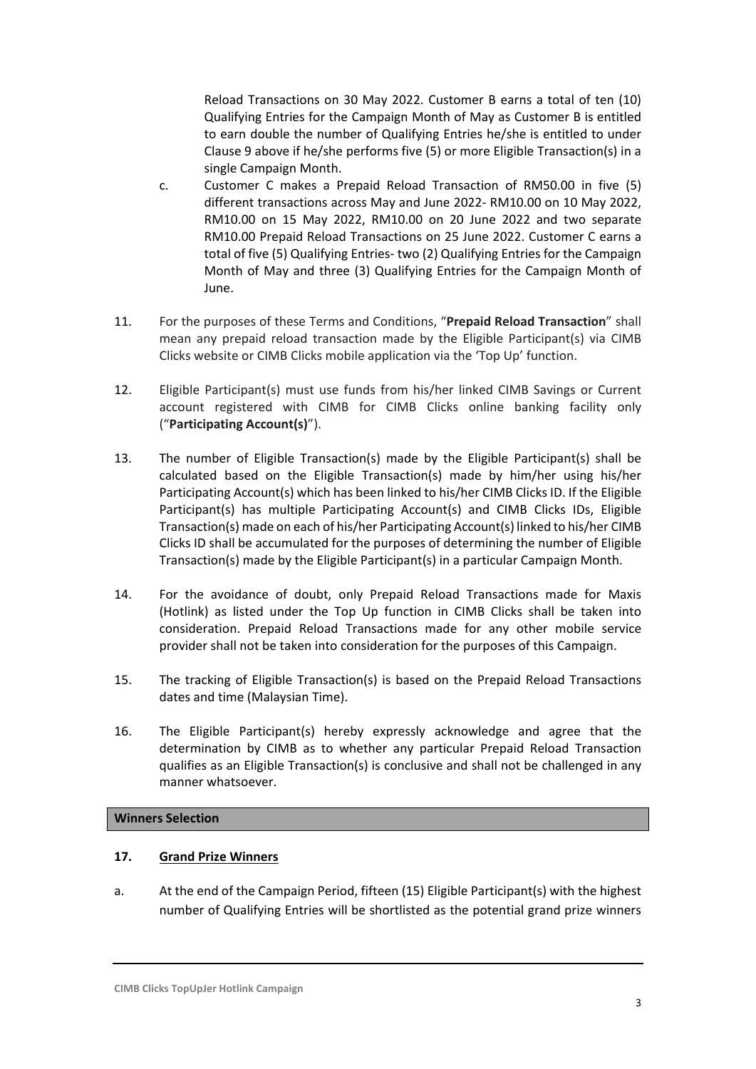Reload Transactions on 30 May 2022. Customer B earns a total of ten (10) Qualifying Entries for the Campaign Month of May as Customer B is entitled to earn double the number of Qualifying Entries he/she is entitled to under Clause 9 above if he/she performs five (5) or more Eligible Transaction(s) in a single Campaign Month.

- c. Customer C makes a Prepaid Reload Transaction of RM50.00 in five (5) different transactions across May and June 2022- RM10.00 on 10 May 2022, RM10.00 on 15 May 2022, RM10.00 on 20 June 2022 and two separate RM10.00 Prepaid Reload Transactions on 25 June 2022. Customer C earns a total of five (5) Qualifying Entries- two (2) Qualifying Entries for the Campaign Month of May and three (3) Qualifying Entries for the Campaign Month of June.
- 11. For the purposes of these Terms and Conditions, "**Prepaid Reload Transaction**" shall mean any prepaid reload transaction made by the Eligible Participant(s) via CIMB Clicks website or CIMB Clicks mobile application via the 'Top Up' function.
- 12. Eligible Participant(s) must use funds from his/her linked CIMB Savings or Current account registered with CIMB for CIMB Clicks online banking facility only ("**Participating Account(s)**").
- 13. The number of Eligible Transaction(s) made by the Eligible Participant(s) shall be calculated based on the Eligible Transaction(s) made by him/her using his/her Participating Account(s) which has been linked to his/her CIMB Clicks ID. If the Eligible Participant(s) has multiple Participating Account(s) and CIMB Clicks IDs, Eligible Transaction(s) made on each of his/her Participating Account(s) linked to his/her CIMB Clicks ID shall be accumulated for the purposes of determining the number of Eligible Transaction(s) made by the Eligible Participant(s) in a particular Campaign Month.
- 14. For the avoidance of doubt, only Prepaid Reload Transactions made for Maxis (Hotlink) as listed under the Top Up function in CIMB Clicks shall be taken into consideration. Prepaid Reload Transactions made for any other mobile service provider shall not be taken into consideration for the purposes of this Campaign.
- 15. The tracking of Eligible Transaction(s) is based on the Prepaid Reload Transactions dates and time (Malaysian Time).
- 16. The Eligible Participant(s) hereby expressly acknowledge and agree that the determination by CIMB as to whether any particular Prepaid Reload Transaction qualifies as an Eligible Transaction(s) is conclusive and shall not be challenged in any manner whatsoever.

## **Winners Selection**

# **17. Grand Prize Winners**

a. At the end of the Campaign Period, fifteen (15) Eligible Participant(s) with the highest number of Qualifying Entries will be shortlisted as the potential grand prize winners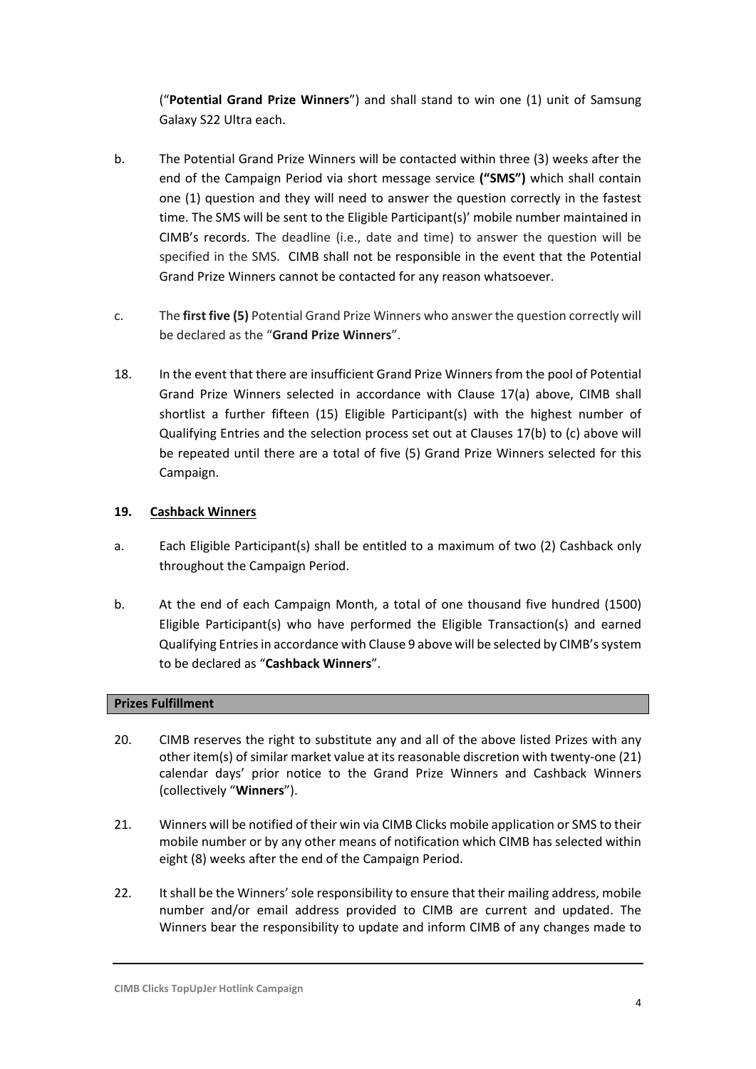("**Potential Grand Prize Winners**") and shall stand to win one (1) unit of Samsung Galaxy S22 Ultra each.

- b. The Potential Grand Prize Winners will be contacted within three (3) weeks after the end of the Campaign Period via short message service **("SMS")** which shall contain one (1) question and they will need to answer the question correctly in the fastest time. The SMS will be sent to the Eligible Participant(s)' mobile number maintained in CIMB's records. The deadline (i.e., date and time) to answer the question will be specified in the SMS. CIMB shall not be responsible in the event that the Potential Grand Prize Winners cannot be contacted for any reason whatsoever.
- c. The **first five (5)** Potential Grand Prize Winners who answer the question correctly will be declared as the "**Grand Prize Winners**".
- 18. In the event that there are insufficient Grand Prize Winners from the pool of Potential Grand Prize Winners selected in accordance with Clause 17(a) above, CIMB shall shortlist a further fifteen (15) Eligible Participant(s) with the highest number of Qualifying Entries and the selection process set out at Clauses 17(b) to (c) above will be repeated until there are a total of five (5) Grand Prize Winners selected for this Campaign.

## **19. Cashback Winners**

- a. Each Eligible Participant(s) shall be entitled to a maximum of two (2) Cashback only throughout the Campaign Period.
- b. At the end of each Campaign Month, a total of one thousand five hundred (1500) Eligible Participant(s) who have performed the Eligible Transaction(s) and earned Qualifying Entries in accordance with Clause 9 above will be selected by CIMB's system to be declared as "**Cashback Winners**".

## **Prizes Fulfillment**

- 20. CIMB reserves the right to substitute any and all of the above listed Prizes with any other item(s) of similar market value at its reasonable discretion with twenty-one (21) calendar days' prior notice to the Grand Prize Winners and Cashback Winners (collectively "**Winners**").
- 21. Winners will be notified of their win via CIMB Clicks mobile application or SMS to their mobile number or by any other means of notification which CIMB has selected within eight (8) weeks after the end of the Campaign Period.
- 22. It shall be the Winners' sole responsibility to ensure that their mailing address, mobile number and/or email address provided to CIMB are current and updated. The Winners bear the responsibility to update and inform CIMB of any changes made to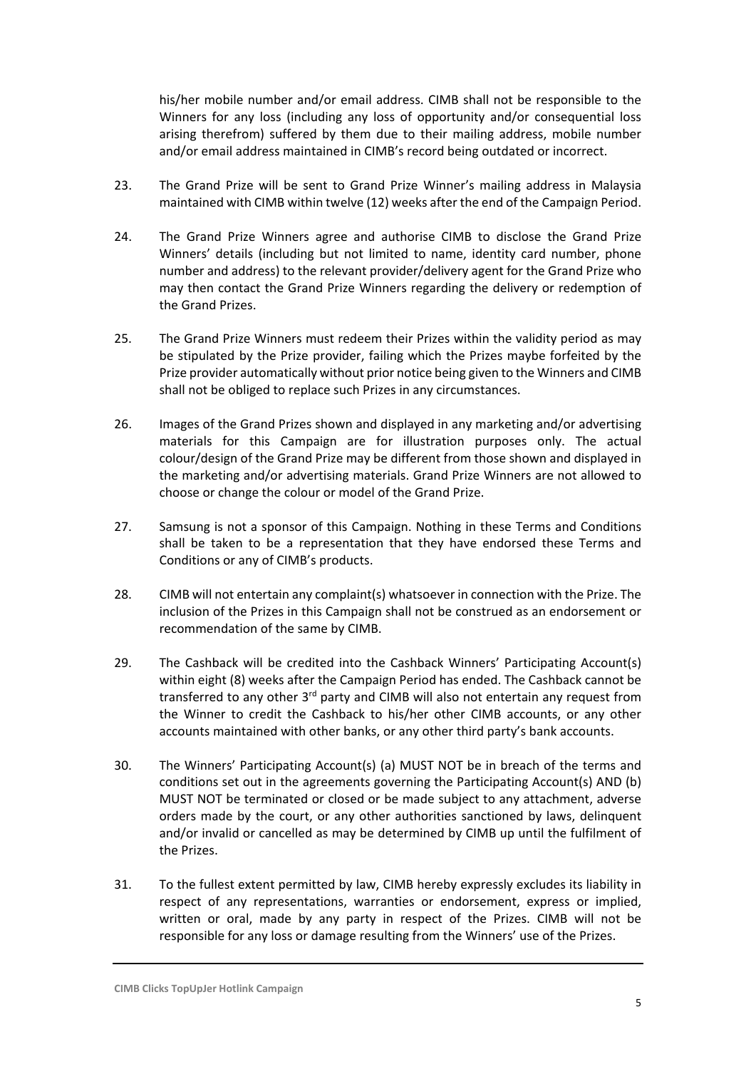his/her mobile number and/or email address. CIMB shall not be responsible to the Winners for any loss (including any loss of opportunity and/or consequential loss arising therefrom) suffered by them due to their mailing address, mobile number and/or email address maintained in CIMB's record being outdated or incorrect.

- 23. The Grand Prize will be sent to Grand Prize Winner's mailing address in Malaysia maintained with CIMB within twelve (12) weeks after the end of the Campaign Period.
- 24. The Grand Prize Winners agree and authorise CIMB to disclose the Grand Prize Winners' details (including but not limited to name, identity card number, phone number and address) to the relevant provider/delivery agent for the Grand Prize who may then contact the Grand Prize Winners regarding the delivery or redemption of the Grand Prizes.
- 25. The Grand Prize Winners must redeem their Prizes within the validity period as may be stipulated by the Prize provider, failing which the Prizes maybe forfeited by the Prize provider automatically without prior notice being given to the Winners and CIMB shall not be obliged to replace such Prizes in any circumstances.
- 26. Images of the Grand Prizes shown and displayed in any marketing and/or advertising materials for this Campaign are for illustration purposes only. The actual colour/design of the Grand Prize may be different from those shown and displayed in the marketing and/or advertising materials. Grand Prize Winners are not allowed to choose or change the colour or model of the Grand Prize.
- 27. Samsung is not a sponsor of this Campaign. Nothing in these Terms and Conditions shall be taken to be a representation that they have endorsed these Terms and Conditions or any of CIMB's products.
- 28. CIMB will not entertain any complaint(s) whatsoever in connection with the Prize. The inclusion of the Prizes in this Campaign shall not be construed as an endorsement or recommendation of the same by CIMB.
- 29. The Cashback will be credited into the Cashback Winners' Participating Account(s) within eight (8) weeks after the Campaign Period has ended. The Cashback cannot be transferred to any other  $3<sup>rd</sup>$  party and CIMB will also not entertain any request from the Winner to credit the Cashback to his/her other CIMB accounts, or any other accounts maintained with other banks, or any other third party's bank accounts.
- 30. The Winners' Participating Account(s) (a) MUST NOT be in breach of the terms and conditions set out in the agreements governing the Participating Account(s) AND (b) MUST NOT be terminated or closed or be made subject to any attachment, adverse orders made by the court, or any other authorities sanctioned by laws, delinquent and/or invalid or cancelled as may be determined by CIMB up until the fulfilment of the Prizes.
- 31. To the fullest extent permitted by law, CIMB hereby expressly excludes its liability in respect of any representations, warranties or endorsement, express or implied, written or oral, made by any party in respect of the Prizes. CIMB will not be responsible for any loss or damage resulting from the Winners' use of the Prizes.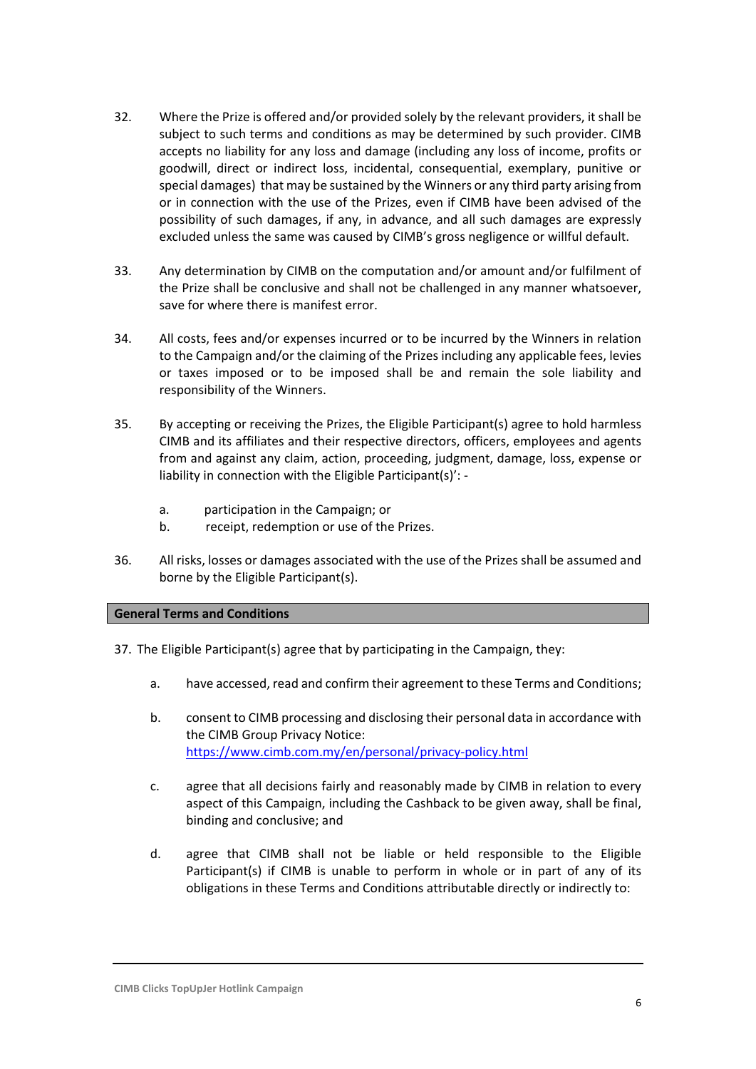- 32. Where the Prize is offered and/or provided solely by the relevant providers, it shall be subject to such terms and conditions as may be determined by such provider. CIMB accepts no liability for any loss and damage (including any loss of income, profits or goodwill, direct or indirect loss, incidental, consequential, exemplary, punitive or special damages) that may be sustained by the Winners or any third party arising from or in connection with the use of the Prizes, even if CIMB have been advised of the possibility of such damages, if any, in advance, and all such damages are expressly excluded unless the same was caused by CIMB's gross negligence or willful default.
- 33. Any determination by CIMB on the computation and/or amount and/or fulfilment of the Prize shall be conclusive and shall not be challenged in any manner whatsoever, save for where there is manifest error.
- 34. All costs, fees and/or expenses incurred or to be incurred by the Winners in relation to the Campaign and/or the claiming of the Prizes including any applicable fees, levies or taxes imposed or to be imposed shall be and remain the sole liability and responsibility of the Winners.
- 35. By accepting or receiving the Prizes, the Eligible Participant(s) agree to hold harmless CIMB and its affiliates and their respective directors, officers, employees and agents from and against any claim, action, proceeding, judgment, damage, loss, expense or liability in connection with the Eligible Participant(s)':
	- a. participation in the Campaign; or
	- b. receipt, redemption or use of the Prizes.
- 36. All risks, losses or damages associated with the use of the Prizes shall be assumed and borne by the Eligible Participant(s).

## **General Terms and Conditions**

- 37. The Eligible Participant(s) agree that by participating in the Campaign, they:
	- a. have accessed, read and confirm their agreement to these Terms and Conditions;
	- b. consent to CIMB processing and disclosing their personal data in accordance with the CIMB Group Privacy Notice: <https://www.cimb.com.my/en/personal/privacy-policy.html>
	- c. agree that all decisions fairly and reasonably made by CIMB in relation to every aspect of this Campaign, including the Cashback to be given away, shall be final, binding and conclusive; and
	- d. agree that CIMB shall not be liable or held responsible to the Eligible Participant(s) if CIMB is unable to perform in whole or in part of any of its obligations in these Terms and Conditions attributable directly or indirectly to: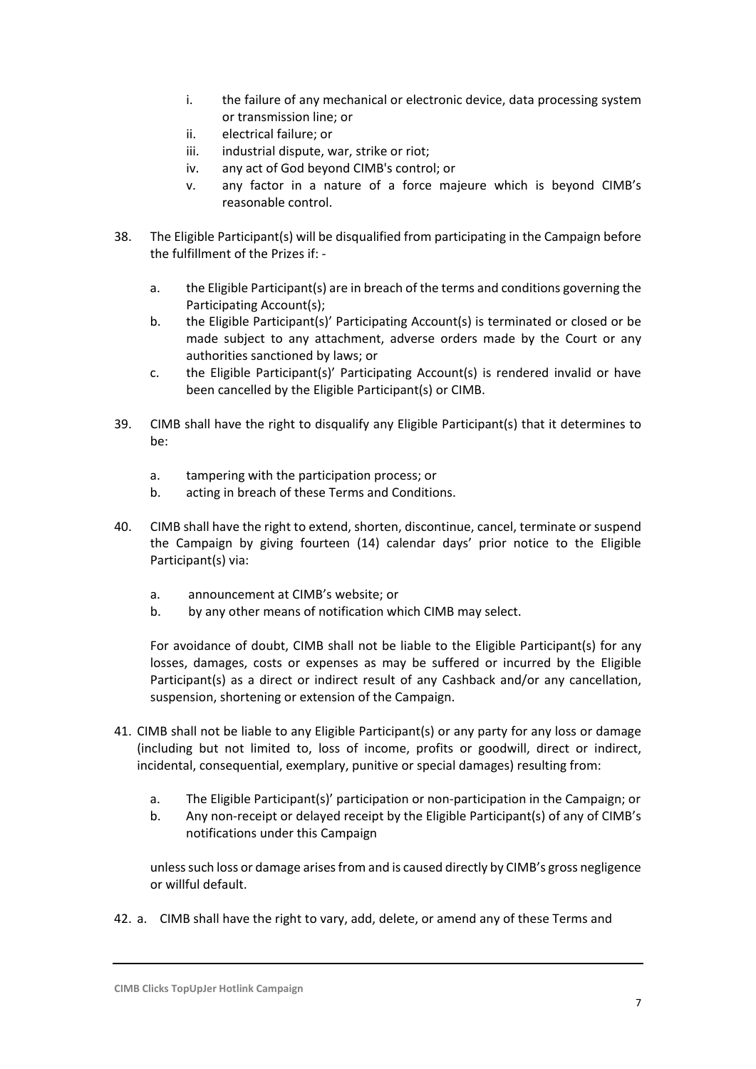- i. the failure of any mechanical or electronic device, data processing system or transmission line; or
- ii. electrical failure; or
- iii. industrial dispute, war, strike or riot;
- iv. any act of God beyond CIMB's control; or
- v. any factor in a nature of a force majeure which is beyond CIMB's reasonable control.
- 38. The Eligible Participant(s) will be disqualified from participating in the Campaign before the fulfillment of the Prizes if:
	- a. the Eligible Participant(s) are in breach of the terms and conditions governing the Participating Account(s);
	- b. the Eligible Participant(s)' Participating Account(s) is terminated or closed or be made subject to any attachment, adverse orders made by the Court or any authorities sanctioned by laws; or
	- c. the Eligible Participant(s)' Participating Account(s) is rendered invalid or have been cancelled by the Eligible Participant(s) or CIMB.
- 39. CIMB shall have the right to disqualify any Eligible Participant(s) that it determines to be:
	- a. tampering with the participation process; or
	- b. acting in breach of these Terms and Conditions.
- 40. CIMB shall have the right to extend, shorten, discontinue, cancel, terminate or suspend the Campaign by giving fourteen (14) calendar days' prior notice to the Eligible Participant(s) via:
	- a. announcement at CIMB's website; or
	- b. by any other means of notification which CIMB may select.

For avoidance of doubt, CIMB shall not be liable to the Eligible Participant(s) for any losses, damages, costs or expenses as may be suffered or incurred by the Eligible Participant(s) as a direct or indirect result of any Cashback and/or any cancellation, suspension, shortening or extension of the Campaign.

- 41. CIMB shall not be liable to any Eligible Participant(s) or any party for any loss or damage (including but not limited to, loss of income, profits or goodwill, direct or indirect, incidental, consequential, exemplary, punitive or special damages) resulting from:
	- a. The Eligible Participant(s)' participation or non-participation in the Campaign; or
	- b. Any non-receipt or delayed receipt by the Eligible Participant(s) of any of CIMB's notifications under this Campaign

unless such loss or damage arises from and is caused directly by CIMB's gross negligence or willful default.

42. a. CIMB shall have the right to vary, add, delete, or amend any of these Terms and